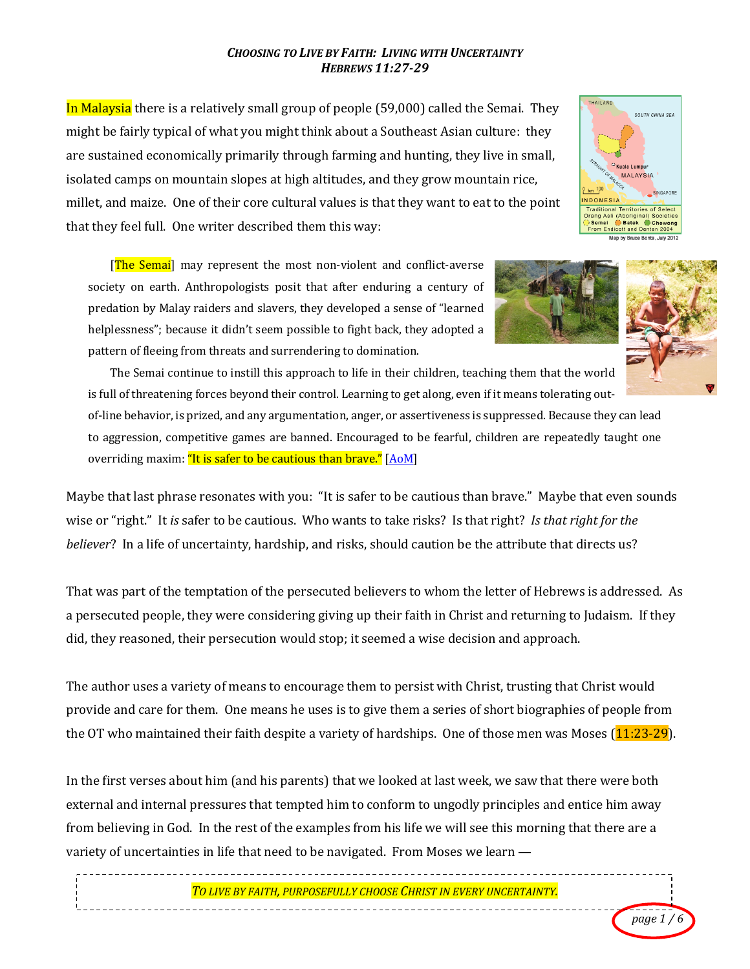## *CHOOSING TO LIVE BY FAITH: LIVING WITH UNCERTAINTY HEBREWS 11:27-29*

In Malaysia there is a relatively small group of people (59,000) called the Semai. They might be fairly typical of what you might think about a Southeast Asian culture: they are sustained economically primarily through farming and hunting, they live in small, isolated camps on mountain slopes at high altitudes, and they grow mountain rice, millet, and maize. One of their core cultural values is that they want to eat to the point that they feel full. One writer described them this way:

**The Semail** may represent the most non-violent and conflict-averse society on earth. Anthropologists posit that after enduring a century of predation by Malay raiders and slavers, they developed a sense of "learned helplessness"; because it didn't seem possible to fight back, they adopted a pattern of fleeing from threats and surrendering to domination.



THAILAND

Trar

**SOUTH CHINA SEA** 

<sup>O</sup> Kuala Lumpur MALAYSIA

**Ratek**  $\bigcirc$  Cr<br>Dentan and De Map by Bruce Bonta, July 2012



The Semai continue to instill this approach to life in their children, teaching them that the world is full of threatening forces beyond their control. Learning to get along, even if it means tolerating outof-line behavior, is prized, and any argumentation, anger, or assertiveness is suppressed. Because they can lead to aggression, competitive games are banned. Encouraged to be fearful, children are repeatedly taught one overriding maxim: "It is safer to be cautious than brave." [AoM]

Maybe that last phrase resonates with you: "It is safer to be cautious than brave." Maybe that even sounds wise or "right." It *is* safer to be cautious. Who wants to take risks? Is that right? Is that right for the *believer*? In a life of uncertainty, hardship, and risks, should caution be the attribute that directs us?

That was part of the temptation of the persecuted believers to whom the letter of Hebrews is addressed. As a persecuted people, they were considering giving up their faith in Christ and returning to Judaism. If they did, they reasoned, their persecution would stop; it seemed a wise decision and approach.

The author uses a variety of means to encourage them to persist with Christ, trusting that Christ would provide and care for them. One means he uses is to give them a series of short biographies of people from the OT who maintained their faith despite a variety of hardships. One of those men was Moses  $(11:23-29)$ .

In the first verses about him (and his parents) that we looked at last week, we saw that there were both external and internal pressures that tempted him to conform to ungodly principles and entice him away from believing in God. In the rest of the examples from his life we will see this morning that there are a variety of uncertainties in life that need to be navigated. From Moses we learn  $-$ 

*TO LIVE BY FAITH, PURPOSEFULLY CHOOSE CHRIST IN EVERY UNCERTAINTY.*

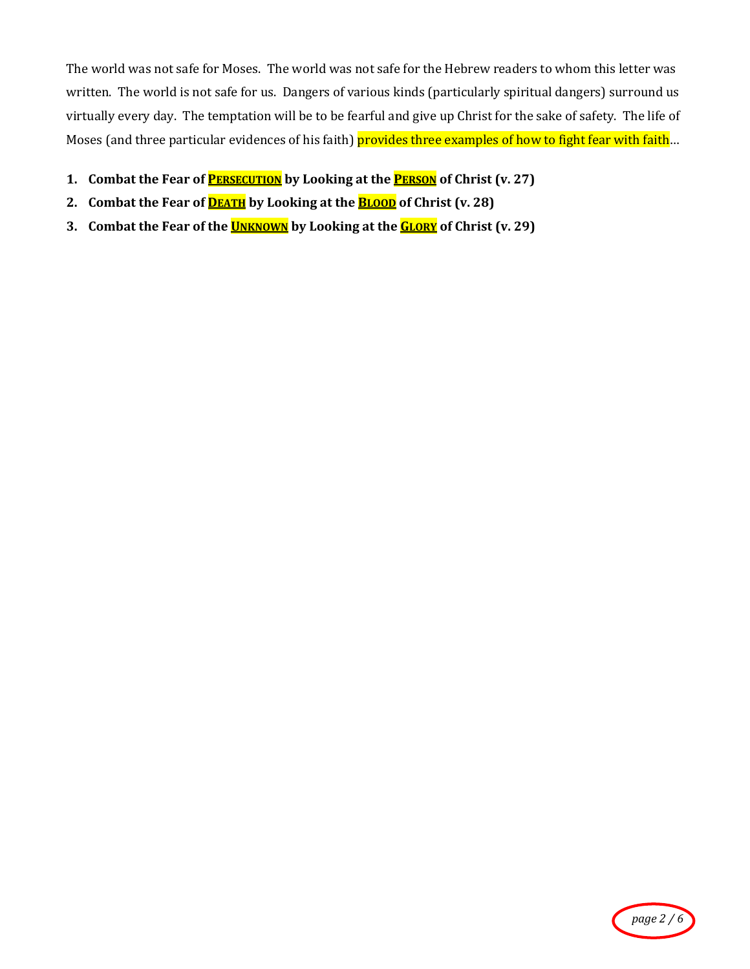The world was not safe for Moses. The world was not safe for the Hebrew readers to whom this letter was written. The world is not safe for us. Dangers of various kinds (particularly spiritual dangers) surround us virtually every day. The temptation will be to be fearful and give up Christ for the sake of safety. The life of Moses (and three particular evidences of his faith) provides three examples of how to fight fear with faith...

- **1. Combat the Fear of <b>PERSECUTION** by Looking at the **PERSON** of Christ (v. 27)
- 2. **Combat the Fear of <b>DEATH** by Looking at the **BLOOD** of Christ (v. 28)
- **3.** Combat the Fear of the **UNKNOWN** by Looking at the **GLORY** of Christ (v. 29)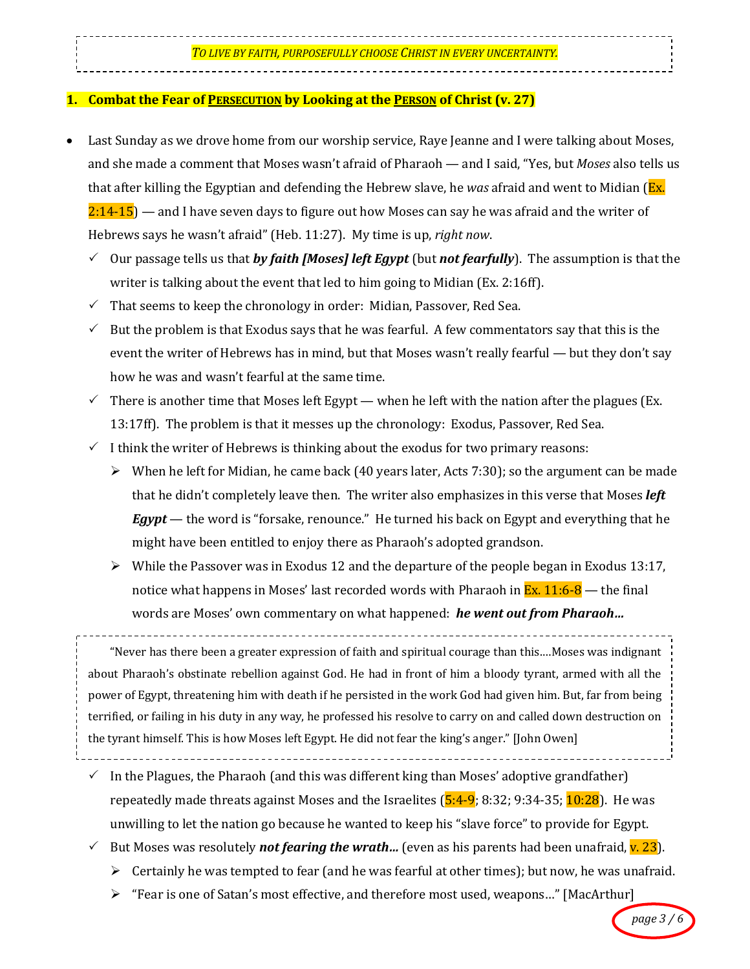## **1.** Combat the Fear of PERSECUTION by Looking at the PERSON of Christ (v. 27)

- Last Sunday as we drove home from our worship service, Raye Jeanne and I were talking about Moses, and she made a comment that Moses wasn't afraid of Pharaoh — and I said, "Yes, but *Moses* also tells us that after killing the Egyptian and defending the Hebrew slave, he *was* afraid and went to Midian (Ex.)  $2:14-15$   $-$  and I have seven days to figure out how Moses can say he was afraid and the writer of Hebrews says he wasn't afraid" (Heb. 11:27). My time is up, *right now*.
	- $\checkmark$  Our passage tells us that *by faith [Moses] left Egypt* (but *not fearfully*). The assumption is that the writer is talking about the event that led to him going to Midian (Ex. 2:16ff).
	- $\checkmark$  That seems to keep the chronology in order: Midian, Passover, Red Sea.
	- $\checkmark$  But the problem is that Exodus says that he was fearful. A few commentators say that this is the event the writer of Hebrews has in mind, but that Moses wasn't really fearful — but they don't say how he was and wasn't fearful at the same time.
	- $\checkmark$  There is another time that Moses left Egypt when he left with the nation after the plagues (Ex. 13:17ff). The problem is that it messes up the chronology: Exodus, Passover, Red Sea.
	- $\checkmark$  I think the writer of Hebrews is thinking about the exodus for two primary reasons:
		- $\triangleright$  When he left for Midian, he came back (40 years later, Acts 7:30); so the argument can be made that he didn't completely leave then. The writer also emphasizes in this verse that Moses *left Egypt* — the word is "forsake, renounce." He turned his back on Egypt and everything that he might have been entitled to enjoy there as Pharaoh's adopted grandson.
		- $\triangleright$  While the Passover was in Exodus 12 and the departure of the people began in Exodus 13:17, notice what happens in Moses' last recorded words with Pharaoh in  $\text{Ex. } 11:6-8$  — the final words are Moses' own commentary on what happened: *he went out from Pharaoh...*

"Never has there been a greater expression of faith and spiritual courage than this....Moses was indignant about Pharaoh's obstinate rebellion against God. He had in front of him a bloody tyrant, armed with all the power of Egypt, threatening him with death if he persisted in the work God had given him. But, far from being terrified, or failing in his duty in any way, he professed his resolve to carry on and called down destruction on the tyrant himself. This is how Moses left Egypt. He did not fear the king's anger." [John Owen]

- $\checkmark$  In the Plagues, the Pharaoh (and this was different king than Moses' adoptive grandfather) repeatedly made threats against Moses and the Israelites (5:4-9; 8:32; 9:34-35; 10:28). He was unwilling to let the nation go because he wanted to keep his "slave force" to provide for Egypt.
- $\checkmark$  But Moses was resolutely **not fearing the wrath...** (even as his parents had been unafraid, <mark>v. 23</mark>).
	- Eertainly he was tempted to fear (and he was fearful at other times); but now, he was unafraid.
	- $\triangleright$  "Fear is one of Satan's most effective, and therefore most used, weapons..." [MacArthur]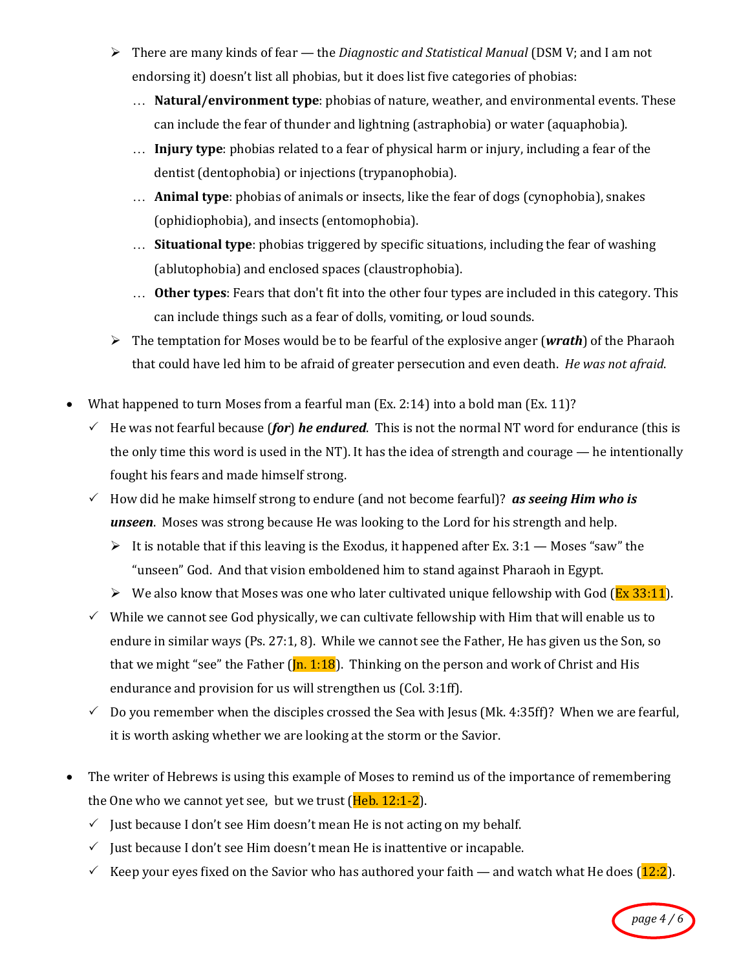- > There are many kinds of fear the *Diagnostic and Statistical Manual* (DSM V; and I am not endorsing it) doesn't list all phobias, but it does list five categories of phobias:
	- ... **Natural/environment type**: phobias of nature, weather, and environmental events. These can include the fear of thunder and lightning (astraphobia) or water (aquaphobia).
	- ... **Injury type**: phobias related to a fear of physical harm or injury, including a fear of the dentist (dentophobia) or injections (trypanophobia).
	- ... **Animal type**: phobias of animals or insects, like the fear of dogs (cynophobia), snakes (ophidiophobia), and insects (entomophobia).
	- ... **Situational type**: phobias triggered by specific situations, including the fear of washing (ablutophobia) and enclosed spaces (claustrophobia).
	- ... **Other types**: Fears that don't fit into the other four types are included in this category. This can include things such as a fear of dolls, vomiting, or loud sounds.
- $\triangleright$  The temptation for Moses would be to be fearful of the explosive anger (*wrath*) of the Pharaoh that could have led him to be afraid of greater persecution and even death. *He was not afraid.*
- What happened to turn Moses from a fearful man (Ex. 2:14) into a bold man (Ex. 11)?
	- $\checkmark$  He was not fearful because (*for*) *he endured*. This is not the normal NT word for endurance (this is the only time this word is used in the NT). It has the idea of strength and courage — he intentionally fought his fears and made himself strong.
	- How did he make himself strong to endure (and not become fearful)? *as seeing Him who is* **unseen**. Moses was strong because He was looking to the Lord for his strength and help.
		- It is notable that if this leaving is the Exodus, it happened after Ex.  $3:1$  Moses "saw" the "unseen" God. And that vision emboldened him to stand against Pharaoh in Egypt.
		- $\triangleright$  We also know that Moses was one who later cultivated unique fellowship with God (Ex 33:11).
	- $\checkmark$  While we cannot see God physically, we can cultivate fellowship with Him that will enable us to endure in similar ways (Ps. 27:1, 8). While we cannot see the Father, He has given us the Son, so that we might "see" the Father  $([n, 1:18])$ . Thinking on the person and work of Christ and His endurance and provision for us will strengthen us (Col. 3:1ff).
	- $\checkmark$  Do you remember when the disciples crossed the Sea with Jesus (Mk. 4:35ff)? When we are fearful, it is worth asking whether we are looking at the storm or the Savior.
- The writer of Hebrews is using this example of Moses to remind us of the importance of remembering the One who we cannot yet see, but we trust  $(Heb. 12:1-2)$ .
	- $\checkmark$  Just because I don't see Him doesn't mean He is not acting on my behalf.
	- $\checkmark$  Just because I don't see Him doesn't mean He is inattentive or incapable.
	- Keep your eyes fixed on the Savior who has authored your faith and watch what He does  $(12:2)$ .

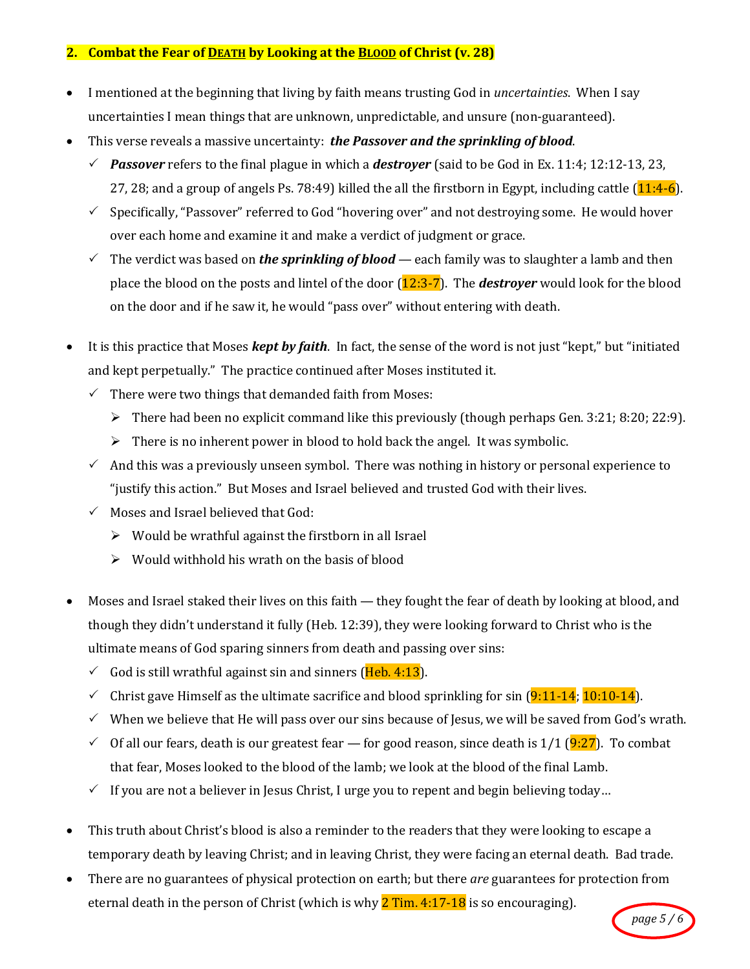## **2.** Combat the Fear of DEATH by Looking at the BLOOD of Christ (v. 28)

- I mentioned at the beginning that living by faith means trusting God in *uncertainties*. When I say uncertainties I mean things that are unknown, unpredictable, and unsure (non-guaranteed).
- This verse reveals a massive uncertainty: **the Passover and the sprinkling of blood**.
	- Passover refers to the final plague in which a **destrover** (said to be God in Ex. 11:4; 12:12-13, 23, 27, 28; and a group of angels Ps. 78:49) killed the all the firstborn in Egypt, including cattle  $(11:4-6)$ .
	- $\checkmark$  Specifically, "Passover" referred to God "hovering over" and not destroying some. He would hover over each home and examine it and make a verdict of judgment or grace.
	- The verdict was based on *the sprinkling of blood* each family was to slaughter a lamb and then place the blood on the posts and lintel of the door  $(12:3-7)$ . The **destroyer** would look for the blood on the door and if he saw it, he would "pass over" without entering with death.
- It is this practice that Moses *kept by faith*. In fact, the sense of the word is not just "kept," but "initiated and kept perpetually." The practice continued after Moses instituted it.
	- $\checkmark$  There were two things that demanded faith from Moses:
		- $\triangleright$  There had been no explicit command like this previously (though perhaps Gen. 3:21; 8:20; 22:9).
		- $\triangleright$  There is no inherent power in blood to hold back the angel. It was symbolic.
	- $\checkmark$  And this was a previously unseen symbol. There was nothing in history or personal experience to "justify this action." But Moses and Israel believed and trusted God with their lives.
	- $\checkmark$  Moses and Israel believed that God:
		- $\triangleright$  Would be wrathful against the firstborn in all Israel
		- $\triangleright$  Would withhold his wrath on the basis of blood
- Moses and Israel staked their lives on this faith they fought the fear of death by looking at blood, and though they didn't understand it fully (Heb. 12:39), they were looking forward to Christ who is the ultimate means of God sparing sinners from death and passing over sins:
	- $\checkmark$  God is still wrathful against sin and sinners (Heb. 4:13).
	- $\checkmark$  Christ gave Himself as the ultimate sacrifice and blood sprinkling for sin (9:11-14; 10:10-14).
	- $\checkmark$  When we believe that He will pass over our sins because of Jesus, we will be saved from God's wrath.
	- $\checkmark$  Of all our fears, death is our greatest fear for good reason, since death is 1/1 (9:27). To combat that fear, Moses looked to the blood of the lamb; we look at the blood of the final Lamb.
	- $\checkmark$  If you are not a believer in Jesus Christ, I urge you to repent and begin believing today...
- This truth about Christ's blood is also a reminder to the readers that they were looking to escape a temporary death by leaving Christ; and in leaving Christ, they were facing an eternal death. Bad trade.
- There are no guarantees of physical protection on earth; but there *are* guarantees for protection from eternal death in the person of Christ (which is why  $2$  Tim. 4:17-18 is so encouraging).